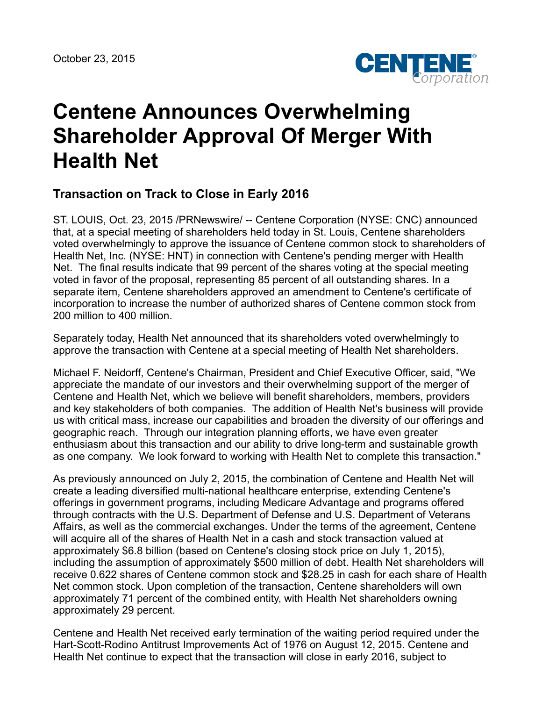

# **Centene Announces Overwhelming Shareholder Approval Of Merger With Health Net**

# **Transaction on Track to Close in Early 2016**

ST. LOUIS, Oct. 23, 2015 /PRNewswire/ -- Centene Corporation (NYSE: CNC) announced that, at a special meeting of shareholders held today in St. Louis, Centene shareholders voted overwhelmingly to approve the issuance of Centene common stock to shareholders of Health Net, Inc. (NYSE: HNT) in connection with Centene's pending merger with Health Net. The final results indicate that 99 percent of the shares voting at the special meeting voted in favor of the proposal, representing 85 percent of all outstanding shares. In a separate item, Centene shareholders approved an amendment to Centene's certificate of incorporation to increase the number of authorized shares of Centene common stock from 200 million to 400 million.

Separately today, Health Net announced that its shareholders voted overwhelmingly to approve the transaction with Centene at a special meeting of Health Net shareholders.

Michael F. Neidorff, Centene's Chairman, President and Chief Executive Officer, said, "We appreciate the mandate of our investors and their overwhelming support of the merger of Centene and Health Net, which we believe will benefit shareholders, members, providers and key stakeholders of both companies. The addition of Health Net's business will provide us with critical mass, increase our capabilities and broaden the diversity of our offerings and geographic reach. Through our integration planning efforts, we have even greater enthusiasm about this transaction and our ability to drive long-term and sustainable growth as one company. We look forward to working with Health Net to complete this transaction."

As previously announced on July 2, 2015, the combination of Centene and Health Net will create a leading diversified multi-national healthcare enterprise, extending Centene's offerings in government programs, including Medicare Advantage and programs offered through contracts with the U.S. Department of Defense and U.S. Department of Veterans Affairs, as well as the commercial exchanges. Under the terms of the agreement, Centene will acquire all of the shares of Health Net in a cash and stock transaction valued at approximately \$6.8 billion (based on Centene's closing stock price on July 1, 2015), including the assumption of approximately \$500 million of debt. Health Net shareholders will receive 0.622 shares of Centene common stock and \$28.25 in cash for each share of Health Net common stock. Upon completion of the transaction, Centene shareholders will own approximately 71 percent of the combined entity, with Health Net shareholders owning approximately 29 percent.

Centene and Health Net received early termination of the waiting period required under the Hart-Scott-Rodino Antitrust Improvements Act of 1976 on August 12, 2015. Centene and Health Net continue to expect that the transaction will close in early 2016, subject to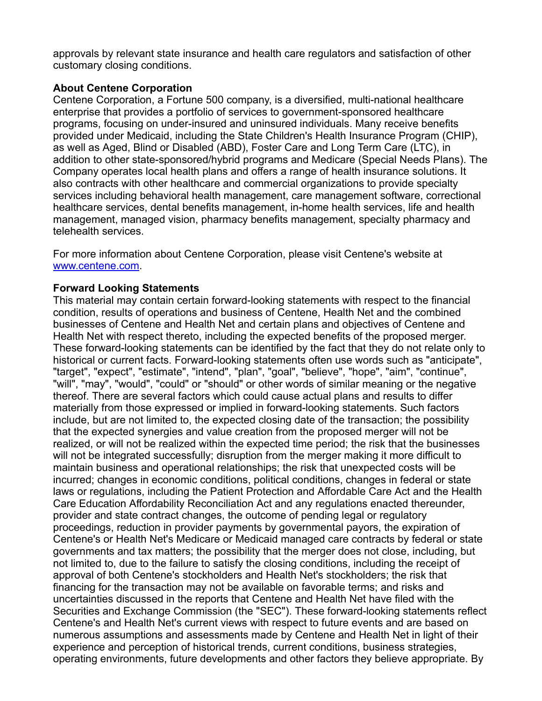approvals by relevant state insurance and health care regulators and satisfaction of other customary closing conditions.

#### **About Centene Corporation**

Centene Corporation, a Fortune 500 company, is a diversified, multi-national healthcare enterprise that provides a portfolio of services to government-sponsored healthcare programs, focusing on under-insured and uninsured individuals. Many receive benefits provided under Medicaid, including the State Children's Health Insurance Program (CHIP), as well as Aged, Blind or Disabled (ABD), Foster Care and Long Term Care (LTC), in addition to other state-sponsored/hybrid programs and Medicare (Special Needs Plans). The Company operates local health plans and offers a range of health insurance solutions. It also contracts with other healthcare and commercial organizations to provide specialty services including behavioral health management, care management software, correctional healthcare services, dental benefits management, in-home health services, life and health management, managed vision, pharmacy benefits management, specialty pharmacy and telehealth services.

For more information about Centene Corporation, please visit Centene's website at [www.centene.com.](http://www.centene.com/)

#### **Forward Looking Statements**

This material may contain certain forward-looking statements with respect to the financial condition, results of operations and business of Centene, Health Net and the combined businesses of Centene and Health Net and certain plans and objectives of Centene and Health Net with respect thereto, including the expected benefits of the proposed merger. These forward-looking statements can be identified by the fact that they do not relate only to historical or current facts. Forward-looking statements often use words such as "anticipate", "target", "expect", "estimate", "intend", "plan", "goal", "believe", "hope", "aim", "continue", "will", "may", "would", "could" or "should" or other words of similar meaning or the negative thereof. There are several factors which could cause actual plans and results to differ materially from those expressed or implied in forward-looking statements. Such factors include, but are not limited to, the expected closing date of the transaction; the possibility that the expected synergies and value creation from the proposed merger will not be realized, or will not be realized within the expected time period; the risk that the businesses will not be integrated successfully; disruption from the merger making it more difficult to maintain business and operational relationships; the risk that unexpected costs will be incurred; changes in economic conditions, political conditions, changes in federal or state laws or regulations, including the Patient Protection and Affordable Care Act and the Health Care Education Affordability Reconciliation Act and any regulations enacted thereunder, provider and state contract changes, the outcome of pending legal or regulatory proceedings, reduction in provider payments by governmental payors, the expiration of Centene's or Health Net's Medicare or Medicaid managed care contracts by federal or state governments and tax matters; the possibility that the merger does not close, including, but not limited to, due to the failure to satisfy the closing conditions, including the receipt of approval of both Centene's stockholders and Health Net's stockholders; the risk that financing for the transaction may not be available on favorable terms; and risks and uncertainties discussed in the reports that Centene and Health Net have filed with the Securities and Exchange Commission (the "SEC"). These forward-looking statements reflect Centene's and Health Net's current views with respect to future events and are based on numerous assumptions and assessments made by Centene and Health Net in light of their experience and perception of historical trends, current conditions, business strategies, operating environments, future developments and other factors they believe appropriate. By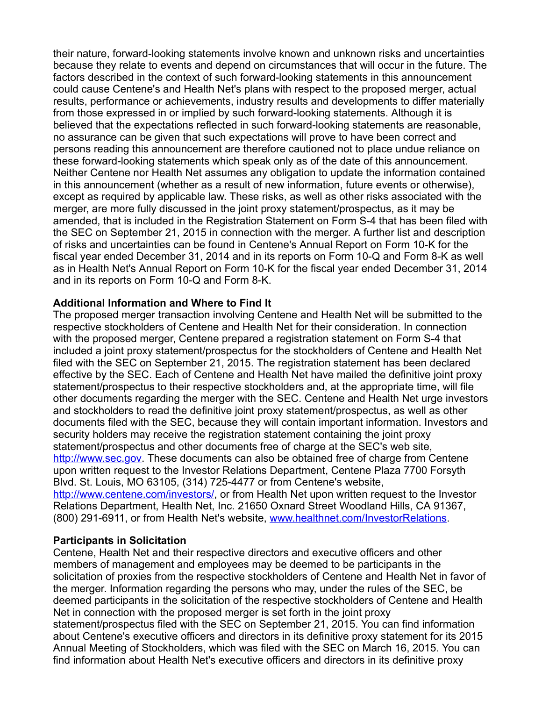their nature, forward-looking statements involve known and unknown risks and uncertainties because they relate to events and depend on circumstances that will occur in the future. The factors described in the context of such forward-looking statements in this announcement could cause Centene's and Health Net's plans with respect to the proposed merger, actual results, performance or achievements, industry results and developments to differ materially from those expressed in or implied by such forward-looking statements. Although it is believed that the expectations reflected in such forward-looking statements are reasonable, no assurance can be given that such expectations will prove to have been correct and persons reading this announcement are therefore cautioned not to place undue reliance on these forward-looking statements which speak only as of the date of this announcement. Neither Centene nor Health Net assumes any obligation to update the information contained in this announcement (whether as a result of new information, future events or otherwise), except as required by applicable law. These risks, as well as other risks associated with the merger, are more fully discussed in the joint proxy statement/prospectus, as it may be amended, that is included in the Registration Statement on Form S-4 that has been filed with the SEC on September 21, 2015 in connection with the merger. A further list and description of risks and uncertainties can be found in Centene's Annual Report on Form 10-K for the fiscal year ended December 31, 2014 and in its reports on Form 10-Q and Form 8-K as well as in Health Net's Annual Report on Form 10-K for the fiscal year ended December 31, 2014 and in its reports on Form 10-Q and Form 8-K.

# **Additional Information and Where to Find It**

The proposed merger transaction involving Centene and Health Net will be submitted to the respective stockholders of Centene and Health Net for their consideration. In connection with the proposed merger, Centene prepared a registration statement on Form S-4 that included a joint proxy statement/prospectus for the stockholders of Centene and Health Net filed with the SEC on September 21, 2015. The registration statement has been declared effective by the SEC. Each of Centene and Health Net have mailed the definitive joint proxy statement/prospectus to their respective stockholders and, at the appropriate time, will file other documents regarding the merger with the SEC. Centene and Health Net urge investors and stockholders to read the definitive joint proxy statement/prospectus, as well as other documents filed with the SEC, because they will contain important information. Investors and security holders may receive the registration statement containing the joint proxy statement/prospectus and other documents free of charge at the SEC's web site, [http://www.sec.gov](http://www.sec.gov/). These documents can also be obtained free of charge from Centene upon written request to the Investor Relations Department, Centene Plaza 7700 Forsyth Blvd. St. Louis, MO 63105, (314) 725-4477 or from Centene's website, <http://www.centene.com/investors/>, or from Health Net upon written request to the Investor Relations Department, Health Net, Inc. 21650 Oxnard Street Woodland Hills, CA 91367, (800) 291-6911, or from Health Net's website, [www.healthnet.com/InvestorRelations.](http://www.healthnet.com/InvestorRelations)

### **Participants in Solicitation**

Centene, Health Net and their respective directors and executive officers and other members of management and employees may be deemed to be participants in the solicitation of proxies from the respective stockholders of Centene and Health Net in favor of the merger. Information regarding the persons who may, under the rules of the SEC, be deemed participants in the solicitation of the respective stockholders of Centene and Health Net in connection with the proposed merger is set forth in the joint proxy statement/prospectus filed with the SEC on September 21, 2015. You can find information about Centene's executive officers and directors in its definitive proxy statement for its 2015 Annual Meeting of Stockholders, which was filed with the SEC on March 16, 2015. You can find information about Health Net's executive officers and directors in its definitive proxy